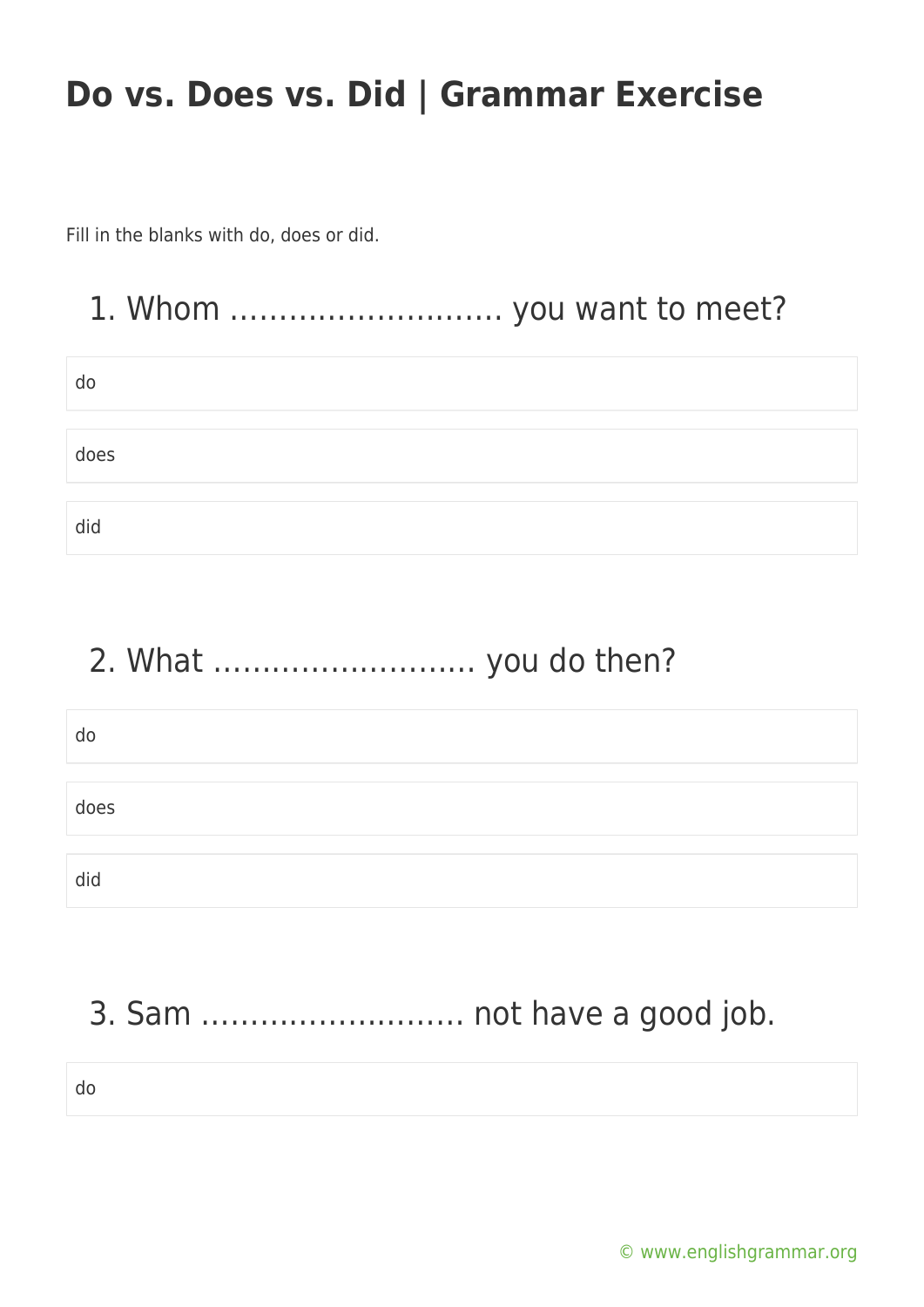Fill in the blanks with do, does or did.

#### 1. Whom ………………………. you want to meet?

| do   |  |  |
|------|--|--|
|      |  |  |
| does |  |  |
|      |  |  |
| did  |  |  |

## 2. What ……………………… you do then?

| do   |  |  |
|------|--|--|
|      |  |  |
|      |  |  |
| does |  |  |
|      |  |  |
|      |  |  |
|      |  |  |
|      |  |  |
| did  |  |  |
|      |  |  |
|      |  |  |

#### 3. Sam ……………………… not have a good job.

do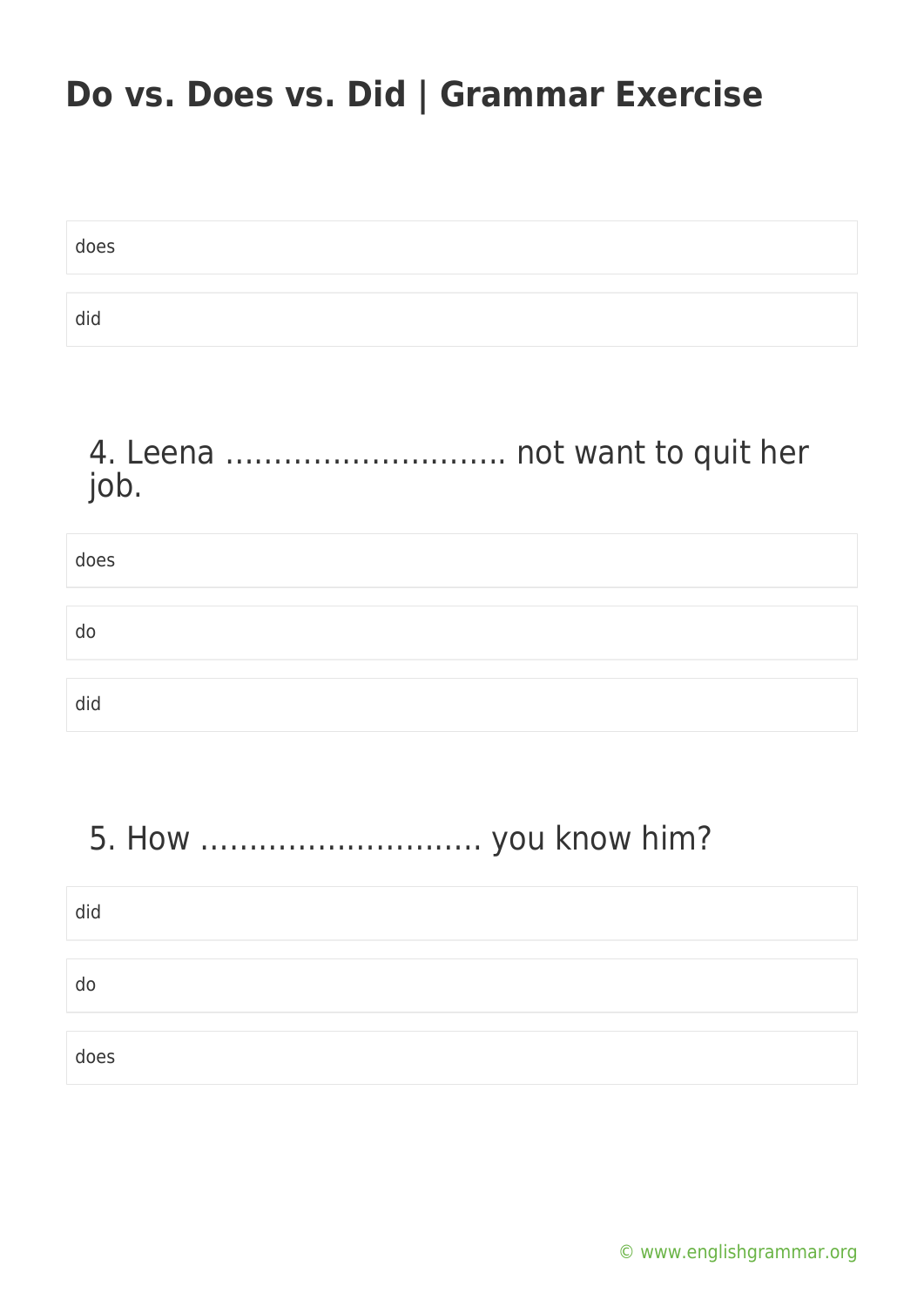| does |  |
|------|--|
|      |  |
| did  |  |

#### 4. Leena ……………………….. not want to quit her job.

| does |  |
|------|--|
|      |  |
| do   |  |
|      |  |
| did  |  |

#### 5. How ……………………….. you know him?

| did  |  |  |
|------|--|--|
|      |  |  |
| do   |  |  |
|      |  |  |
| does |  |  |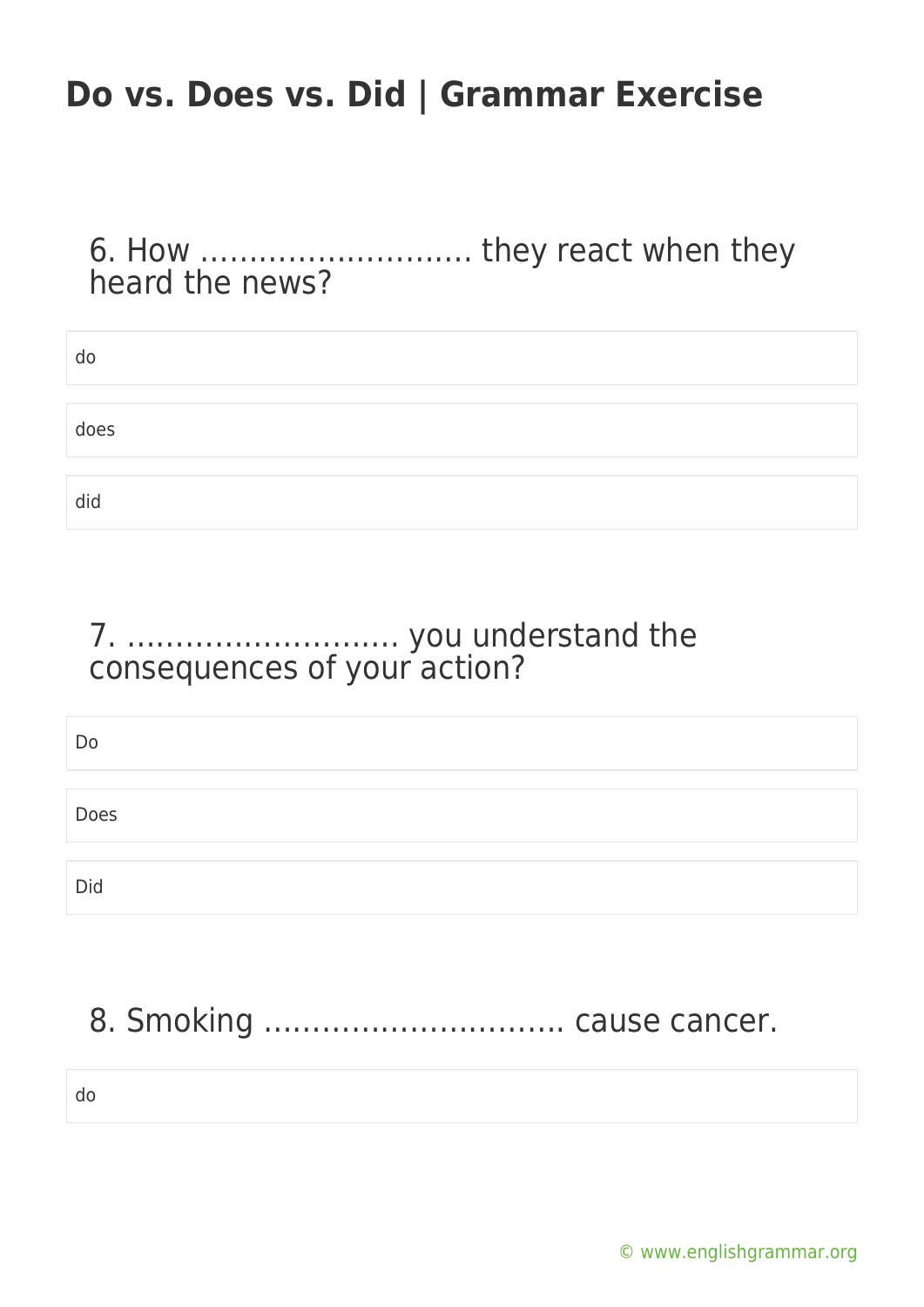6. How ………………………. they react when they heard the news?

| do   |  |
|------|--|
|      |  |
|      |  |
| does |  |
|      |  |
|      |  |
|      |  |
| did  |  |
|      |  |
|      |  |

#### 7. ………………………. you understand the consequences of your action?

| Do   |  |  |
|------|--|--|
|      |  |  |
| Does |  |  |
|      |  |  |
| Did  |  |  |

#### 8. Smoking …………………………. cause cancer.

do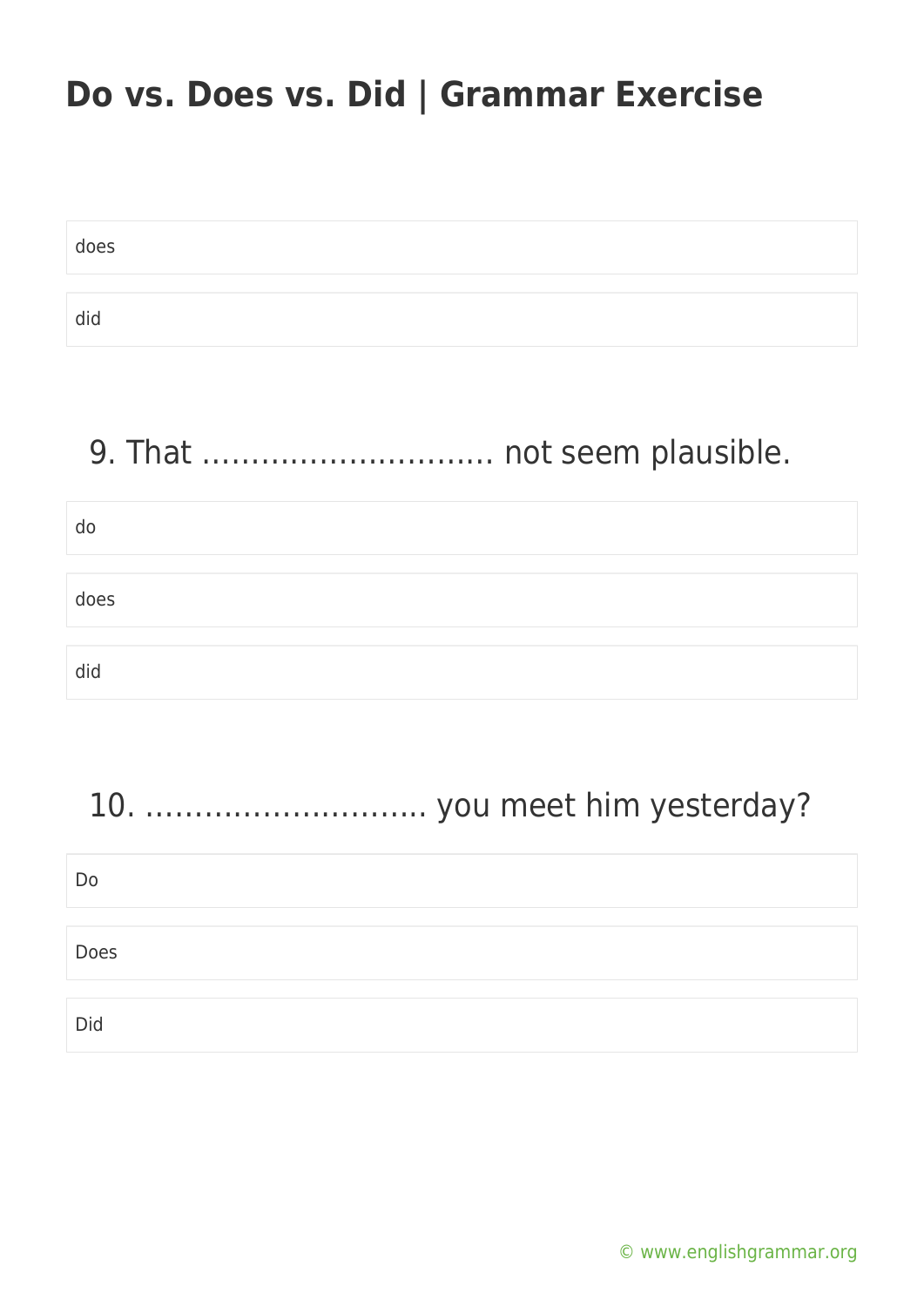| does |  |
|------|--|
|      |  |
| did  |  |

# 9. That ………………………… not seem plausible.

| do   |  |
|------|--|
|      |  |
| does |  |
|      |  |
| did  |  |

# 10. ……………………….. you meet him yesterday?

| Do   |  |  |
|------|--|--|
|      |  |  |
| Does |  |  |
|      |  |  |
| Did  |  |  |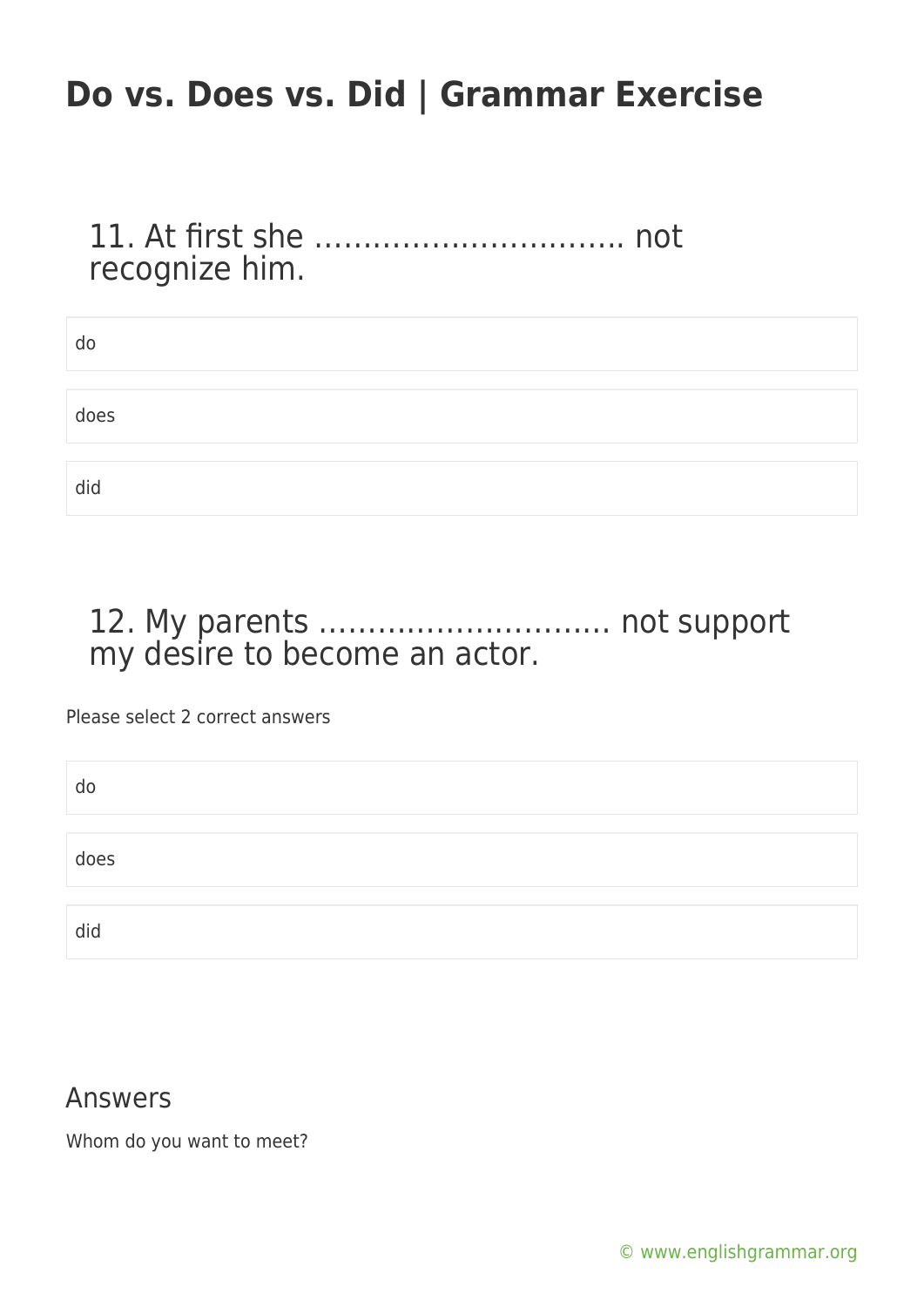#### 11. At first she ………………………….. not recognize him.

| do   |  |  |  |
|------|--|--|--|
|      |  |  |  |
| does |  |  |  |
|      |  |  |  |
| did  |  |  |  |

#### 12. My parents ………………………… not support my desire to become an actor.

Please select 2 correct answers

| do   |  |  |
|------|--|--|
|      |  |  |
| does |  |  |
|      |  |  |
|      |  |  |
| did  |  |  |

#### Answers

Whom do you want to meet?